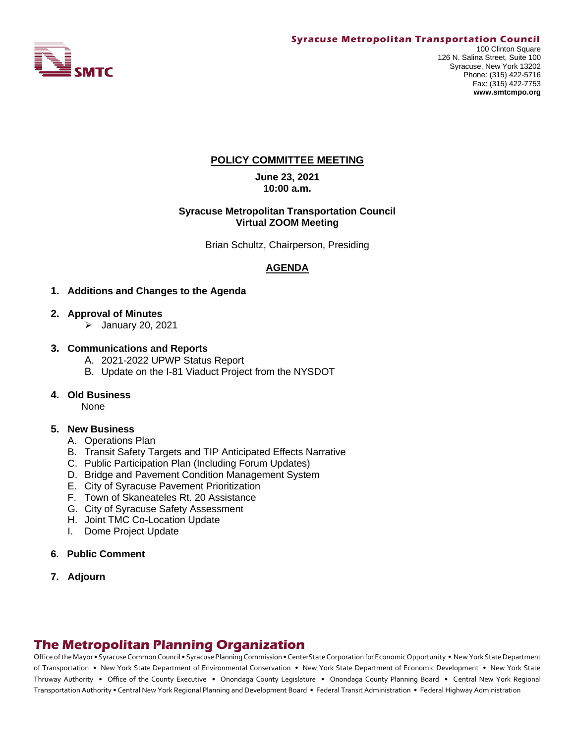

### **POLICY COMMITTEE MEETING**

**June 23, 2021 10:00 a.m.**

#### **Syracuse Metropolitan Transportation Council Virtual ZOOM Meeting**

Brian Schultz, Chairperson, Presiding

# **AGENDA**

- **1. Additions and Changes to the Agenda**
- **2. Approval of Minutes**
	- ➢ January 20, 2021
- **3. Communications and Reports** 
	- A. 2021-2022 UPWP Status Report
	- B. Update on the I-81 Viaduct Project from the NYSDOT
- **4. Old Business**

None

### **5. New Business**

- A. Operations Plan
- B. Transit Safety Targets and TIP Anticipated Effects Narrative
- C. Public Participation Plan (Including Forum Updates)
- D. Bridge and Pavement Condition Management System
- E. City of Syracuse Pavement Prioritization
- F. Town of Skaneateles Rt. 20 Assistance
- G. City of Syracuse Safety Assessment
- H. Joint TMC Co-Location Update
- I. Dome Project Update

### **6. Public Comment**

**7. Adjourn**

# **The Metropolitan Planning Organization**

Office of the Mayor • Syracuse Common Council • Syracuse Planning Commission • CenterState Corporation for Economic Opportunity • New York State Department of Transportation • New York State Department of Environmental Conservation • New York State Department of Economic Development • New York State Thruway Authority • Office of the County Executive • Onondaga County Legislature • Onondaga County Planning Board • Central New York Regional Transportation Authority • Central New York Regional Planning and Development Board • Federal Transit Administration • Federal Highway Administration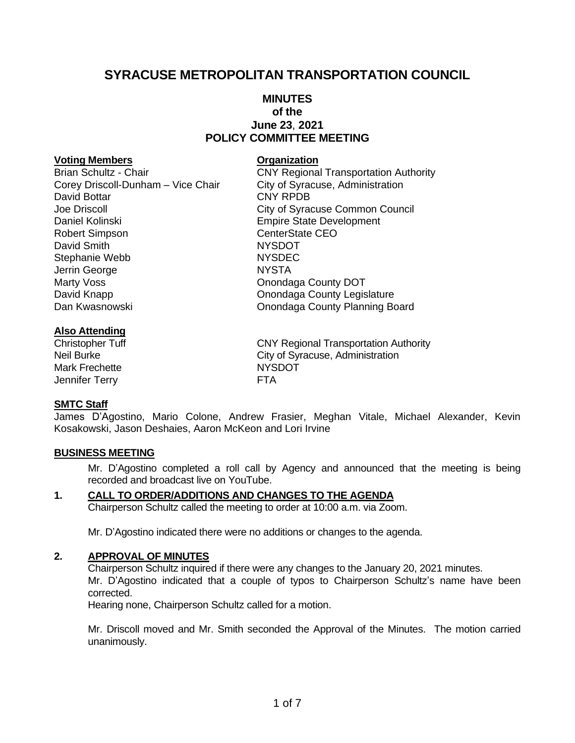# **SYRACUSE METROPOLITAN TRANSPORTATION COUNCIL**

# **MINUTES of the June 23**, **2021 POLICY COMMITTEE MEETING**

### **Voting Members Organization**

Brian Schultz - Chair **CNY Regional Transportation Authority** Corey Driscoll-Dunham – Vice Chair City of Syracuse, Administration David Bottar **CNY RPDB** Joe Driscoll City of Syracuse Common Council Daniel Kolinski **Empire State Development** Robert Simpson **CenterState CEO** David Smith NYSDOT Stephanie Webb NYSDEC Jerrin George NYSTA Marty Voss **Marty Voss COUNTER 1999 Marty Voss COUNTER 1999 MARTING MARTING MARTING COUNTY DOT** David Knapp **David Knapp County Legislature Onondaga County Legislature** Dan Kwasnowski Onondaga County Planning Board

### **Also Attending**

Mark Frechette NYSDOT Jennifer Terry **FTA** 

### **SMTC Staff**

James D'Agostino, Mario Colone, Andrew Frasier, Meghan Vitale, Michael Alexander, Kevin Kosakowski, Jason Deshaies, Aaron McKeon and Lori Irvine

### **BUSINESS MEETING**

Mr. D'Agostino completed a roll call by Agency and announced that the meeting is being recorded and broadcast live on YouTube.

# **1. CALL TO ORDER/ADDITIONS AND CHANGES TO THE AGENDA**

Chairperson Schultz called the meeting to order at 10:00 a.m. via Zoom.

Mr. D'Agostino indicated there were no additions or changes to the agenda.

### **2. APPROVAL OF MINUTES**

Chairperson Schultz inquired if there were any changes to the January 20, 2021 minutes. Mr. D'Agostino indicated that a couple of typos to Chairperson Schultz's name have been corrected.

Hearing none, Chairperson Schultz called for a motion.

Mr. Driscoll moved and Mr. Smith seconded the Approval of the Minutes. The motion carried unanimously.

Christopher Tuff Christopher Tuff Christopher Tuff Christopher Tuff Christopher Tuff Christopher Christopher C Neil Burke City of Syracuse, Administration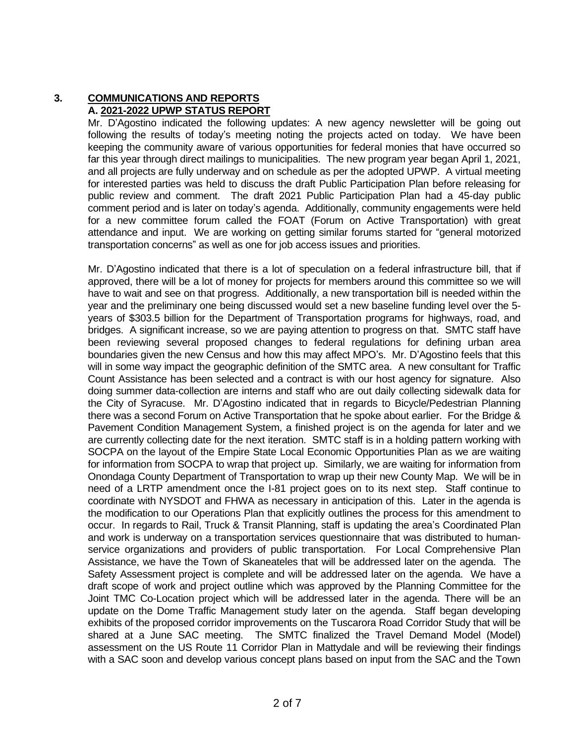# **3. COMMUNICATIONS AND REPORTS A. 2021-2022 UPWP STATUS REPORT**

Mr. D'Agostino indicated the following updates: A new agency newsletter will be going out following the results of today's meeting noting the projects acted on today. We have been keeping the community aware of various opportunities for federal monies that have occurred so far this year through direct mailings to municipalities. The new program year began April 1, 2021, and all projects are fully underway and on schedule as per the adopted UPWP. A virtual meeting for interested parties was held to discuss the draft Public Participation Plan before releasing for public review and comment. The draft 2021 Public Participation Plan had a 45-day public comment period and is later on today's agenda. Additionally, community engagements were held for a new committee forum called the FOAT (Forum on Active Transportation) with great attendance and input. We are working on getting similar forums started for "general motorized transportation concerns" as well as one for job access issues and priorities.

Mr. D'Agostino indicated that there is a lot of speculation on a federal infrastructure bill, that if approved, there will be a lot of money for projects for members around this committee so we will have to wait and see on that progress. Additionally, a new transportation bill is needed within the year and the preliminary one being discussed would set a new baseline funding level over the 5 years of \$303.5 billion for the Department of Transportation programs for highways, road, and bridges. A significant increase, so we are paying attention to progress on that. SMTC staff have been reviewing several proposed changes to federal regulations for defining urban area boundaries given the new Census and how this may affect MPO's. Mr. D'Agostino feels that this will in some way impact the geographic definition of the SMTC area. A new consultant for Traffic Count Assistance has been selected and a contract is with our host agency for signature. Also doing summer data-collection are interns and staff who are out daily collecting sidewalk data for the City of Syracuse. Mr. D'Agostino indicated that in regards to Bicycle/Pedestrian Planning there was a second Forum on Active Transportation that he spoke about earlier. For the Bridge & Pavement Condition Management System, a finished project is on the agenda for later and we are currently collecting date for the next iteration. SMTC staff is in a holding pattern working with SOCPA on the layout of the Empire State Local Economic Opportunities Plan as we are waiting for information from SOCPA to wrap that project up. Similarly, we are waiting for information from Onondaga County Department of Transportation to wrap up their new County Map. We will be in need of a LRTP amendment once the I-81 project goes on to its next step. Staff continue to coordinate with NYSDOT and FHWA as necessary in anticipation of this. Later in the agenda is the modification to our Operations Plan that explicitly outlines the process for this amendment to occur. In regards to Rail, Truck & Transit Planning, staff is updating the area's Coordinated Plan and work is underway on a transportation services questionnaire that was distributed to humanservice organizations and providers of public transportation. For Local Comprehensive Plan Assistance, we have the Town of Skaneateles that will be addressed later on the agenda. The Safety Assessment project is complete and will be addressed later on the agenda. We have a draft scope of work and project outline which was approved by the Planning Committee for the Joint TMC Co-Location project which will be addressed later in the agenda. There will be an update on the Dome Traffic Management study later on the agenda. Staff began developing exhibits of the proposed corridor improvements on the Tuscarora Road Corridor Study that will be shared at a June SAC meeting. The SMTC finalized the Travel Demand Model (Model) assessment on the US Route 11 Corridor Plan in Mattydale and will be reviewing their findings with a SAC soon and develop various concept plans based on input from the SAC and the Town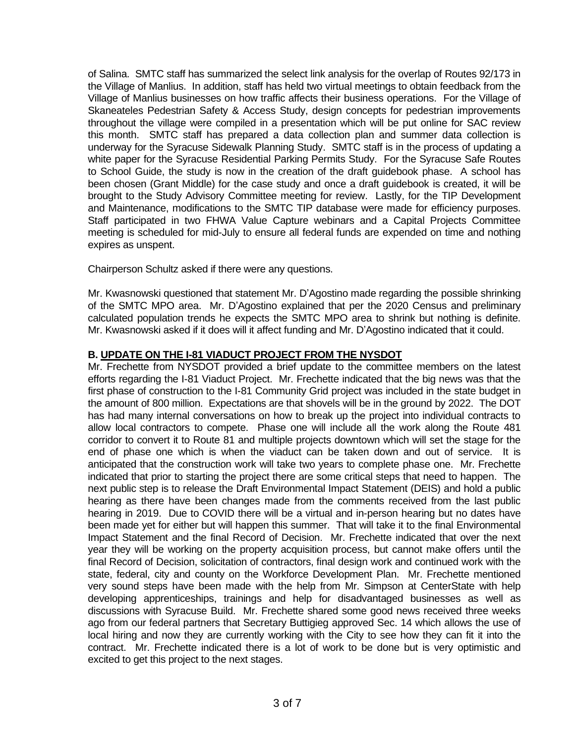of Salina. SMTC staff has summarized the select link analysis for the overlap of Routes 92/173 in the Village of Manlius. In addition, staff has held two virtual meetings to obtain feedback from the Village of Manlius businesses on how traffic affects their business operations. For the Village of Skaneateles Pedestrian Safety & Access Study, design concepts for pedestrian improvements throughout the village were compiled in a presentation which will be put online for SAC review this month. SMTC staff has prepared a data collection plan and summer data collection is underway for the Syracuse Sidewalk Planning Study. SMTC staff is in the process of updating a white paper for the Syracuse Residential Parking Permits Study. For the Syracuse Safe Routes to School Guide, the study is now in the creation of the draft guidebook phase. A school has been chosen (Grant Middle) for the case study and once a draft guidebook is created, it will be brought to the Study Advisory Committee meeting for review. Lastly, for the TIP Development and Maintenance, modifications to the SMTC TIP database were made for efficiency purposes. Staff participated in two FHWA Value Capture webinars and a Capital Projects Committee meeting is scheduled for mid-July to ensure all federal funds are expended on time and nothing expires as unspent.

Chairperson Schultz asked if there were any questions.

Mr. Kwasnowski questioned that statement Mr. D'Agostino made regarding the possible shrinking of the SMTC MPO area. Mr. D'Agostino explained that per the 2020 Census and preliminary calculated population trends he expects the SMTC MPO area to shrink but nothing is definite. Mr. Kwasnowski asked if it does will it affect funding and Mr. D'Agostino indicated that it could.

# **B. UPDATE ON THE I-81 VIADUCT PROJECT FROM THE NYSDOT**

Mr. Frechette from NYSDOT provided a brief update to the committee members on the latest efforts regarding the I-81 Viaduct Project. Mr. Frechette indicated that the big news was that the first phase of construction to the I-81 Community Grid project was included in the state budget in the amount of 800 million. Expectations are that shovels will be in the ground by 2022. The DOT has had many internal conversations on how to break up the project into individual contracts to allow local contractors to compete. Phase one will include all the work along the Route 481 corridor to convert it to Route 81 and multiple projects downtown which will set the stage for the end of phase one which is when the viaduct can be taken down and out of service. It is anticipated that the construction work will take two years to complete phase one. Mr. Frechette indicated that prior to starting the project there are some critical steps that need to happen. The next public step is to release the Draft Environmental Impact Statement (DEIS) and hold a public hearing as there have been changes made from the comments received from the last public hearing in 2019. Due to COVID there will be a virtual and in-person hearing but no dates have been made yet for either but will happen this summer. That will take it to the final Environmental Impact Statement and the final Record of Decision. Mr. Frechette indicated that over the next year they will be working on the property acquisition process, but cannot make offers until the final Record of Decision, solicitation of contractors, final design work and continued work with the state, federal, city and county on the Workforce Development Plan. Mr. Frechette mentioned very sound steps have been made with the help from Mr. Simpson at CenterState with help developing apprenticeships, trainings and help for disadvantaged businesses as well as discussions with Syracuse Build. Mr. Frechette shared some good news received three weeks ago from our federal partners that Secretary Buttigieg approved Sec. 14 which allows the use of local hiring and now they are currently working with the City to see how they can fit it into the contract. Mr. Frechette indicated there is a lot of work to be done but is very optimistic and excited to get this project to the next stages.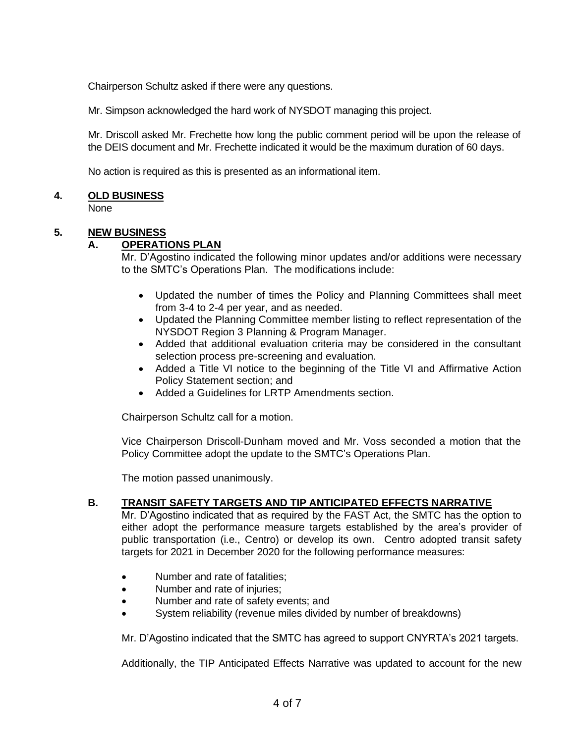Chairperson Schultz asked if there were any questions.

Mr. Simpson acknowledged the hard work of NYSDOT managing this project.

Mr. Driscoll asked Mr. Frechette how long the public comment period will be upon the release of the DEIS document and Mr. Frechette indicated it would be the maximum duration of 60 days.

No action is required as this is presented as an informational item.

# **4. OLD BUSINESS**

None

# **5. NEW BUSINESS**

# **A. OPERATIONS PLAN**

Mr. D'Agostino indicated the following minor updates and/or additions were necessary to the SMTC's Operations Plan. The modifications include:

- Updated the number of times the Policy and Planning Committees shall meet from 3-4 to 2-4 per year, and as needed.
- Updated the Planning Committee member listing to reflect representation of the NYSDOT Region 3 Planning & Program Manager.
- Added that additional evaluation criteria may be considered in the consultant selection process pre-screening and evaluation.
- Added a Title VI notice to the beginning of the Title VI and Affirmative Action Policy Statement section; and
- Added a Guidelines for LRTP Amendments section.

Chairperson Schultz call for a motion.

Vice Chairperson Driscoll-Dunham moved and Mr. Voss seconded a motion that the Policy Committee adopt the update to the SMTC's Operations Plan.

The motion passed unanimously.

### **B. TRANSIT SAFETY TARGETS AND TIP ANTICIPATED EFFECTS NARRATIVE**

Mr. D'Agostino indicated that as required by the FAST Act, the SMTC has the option to either adopt the performance measure targets established by the area's provider of public transportation (i.e., Centro) or develop its own. Centro adopted transit safety targets for 2021 in December 2020 for the following performance measures:

- Number and rate of fatalities:
- Number and rate of injuries;
- Number and rate of safety events; and
- System reliability (revenue miles divided by number of breakdowns)

Mr. D'Agostino indicated that the SMTC has agreed to support CNYRTA's 2021 targets.

Additionally, the TIP Anticipated Effects Narrative was updated to account for the new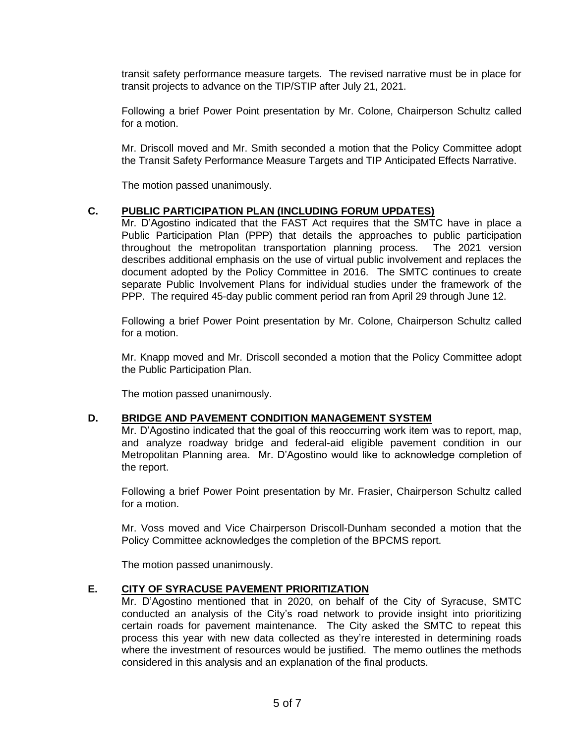transit safety performance measure targets. The revised narrative must be in place for transit projects to advance on the TIP/STIP after July 21, 2021.

Following a brief Power Point presentation by Mr. Colone, Chairperson Schultz called for a motion.

Mr. Driscoll moved and Mr. Smith seconded a motion that the Policy Committee adopt the Transit Safety Performance Measure Targets and TIP Anticipated Effects Narrative.

The motion passed unanimously.

# **C. PUBLIC PARTICIPATION PLAN (INCLUDING FORUM UPDATES)**

Mr. D'Agostino indicated that the FAST Act requires that the SMTC have in place a Public Participation Plan (PPP) that details the approaches to public participation throughout the metropolitan transportation planning process. The 2021 version describes additional emphasis on the use of virtual public involvement and replaces the document adopted by the Policy Committee in 2016. The SMTC continues to create separate Public Involvement Plans for individual studies under the framework of the PPP. The required 45-day public comment period ran from April 29 through June 12.

Following a brief Power Point presentation by Mr. Colone, Chairperson Schultz called for a motion.

Mr. Knapp moved and Mr. Driscoll seconded a motion that the Policy Committee adopt the Public Participation Plan.

The motion passed unanimously.

### **D. BRIDGE AND PAVEMENT CONDITION MANAGEMENT SYSTEM**

Mr. D'Agostino indicated that the goal of this reoccurring work item was to report, map, and analyze roadway bridge and federal-aid eligible pavement condition in our Metropolitan Planning area. Mr. D'Agostino would like to acknowledge completion of the report.

Following a brief Power Point presentation by Mr. Frasier, Chairperson Schultz called for a motion.

Mr. Voss moved and Vice Chairperson Driscoll-Dunham seconded a motion that the Policy Committee acknowledges the completion of the BPCMS report.

The motion passed unanimously.

# **E. CITY OF SYRACUSE PAVEMENT PRIORITIZATION**

Mr. D'Agostino mentioned that in 2020, on behalf of the City of Syracuse, SMTC conducted an analysis of the City's road network to provide insight into prioritizing certain roads for pavement maintenance. The City asked the SMTC to repeat this process this year with new data collected as they're interested in determining roads where the investment of resources would be justified. The memo outlines the methods considered in this analysis and an explanation of the final products.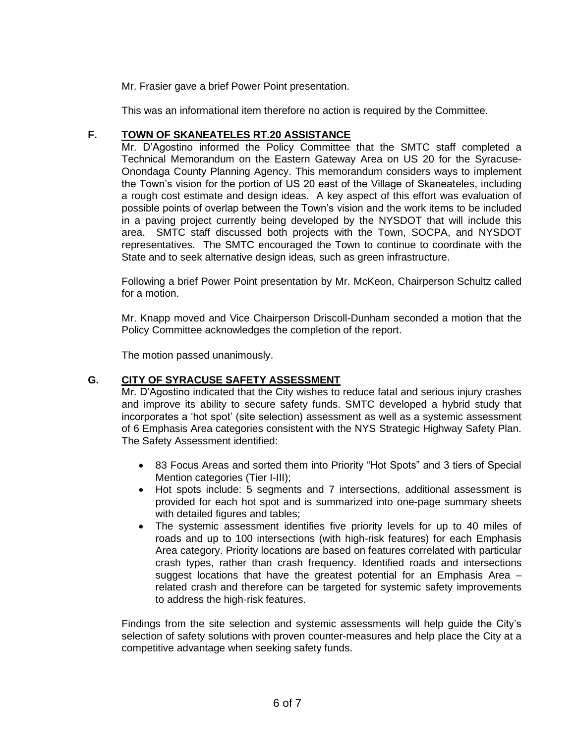Mr. Frasier gave a brief Power Point presentation.

This was an informational item therefore no action is required by the Committee.

# **F. TOWN OF SKANEATELES RT.20 ASSISTANCE**

Mr. D'Agostino informed the Policy Committee that the SMTC staff completed a Technical Memorandum on the Eastern Gateway Area on US 20 for the Syracuse-Onondaga County Planning Agency. This memorandum considers ways to implement the Town's vision for the portion of US 20 east of the Village of Skaneateles, including a rough cost estimate and design ideas. A key aspect of this effort was evaluation of possible points of overlap between the Town's vision and the work items to be included in a paving project currently being developed by the NYSDOT that will include this area. SMTC staff discussed both projects with the Town, SOCPA, and NYSDOT representatives. The SMTC encouraged the Town to continue to coordinate with the State and to seek alternative design ideas, such as green infrastructure.

Following a brief Power Point presentation by Mr. McKeon, Chairperson Schultz called for a motion.

Mr. Knapp moved and Vice Chairperson Driscoll-Dunham seconded a motion that the Policy Committee acknowledges the completion of the report.

The motion passed unanimously.

# **G. CITY OF SYRACUSE SAFETY ASSESSMENT**

Mr. D'Agostino indicated that the City wishes to reduce fatal and serious injury crashes and improve its ability to secure safety funds. SMTC developed a hybrid study that incorporates a 'hot spot' (site selection) assessment as well as a systemic assessment of 6 Emphasis Area categories consistent with the NYS Strategic Highway Safety Plan. The Safety Assessment identified:

- 83 Focus Areas and sorted them into Priority "Hot Spots" and 3 tiers of Special Mention categories (Tier I-III);
- Hot spots include: 5 segments and 7 intersections, additional assessment is provided for each hot spot and is summarized into one-page summary sheets with detailed figures and tables;
- The systemic assessment identifies five priority levels for up to 40 miles of roads and up to 100 intersections (with high-risk features) for each Emphasis Area category. Priority locations are based on features correlated with particular crash types, rather than crash frequency. Identified roads and intersections suggest locations that have the greatest potential for an Emphasis Area – related crash and therefore can be targeted for systemic safety improvements to address the high-risk features.

Findings from the site selection and systemic assessments will help guide the City's selection of safety solutions with proven counter-measures and help place the City at a competitive advantage when seeking safety funds.